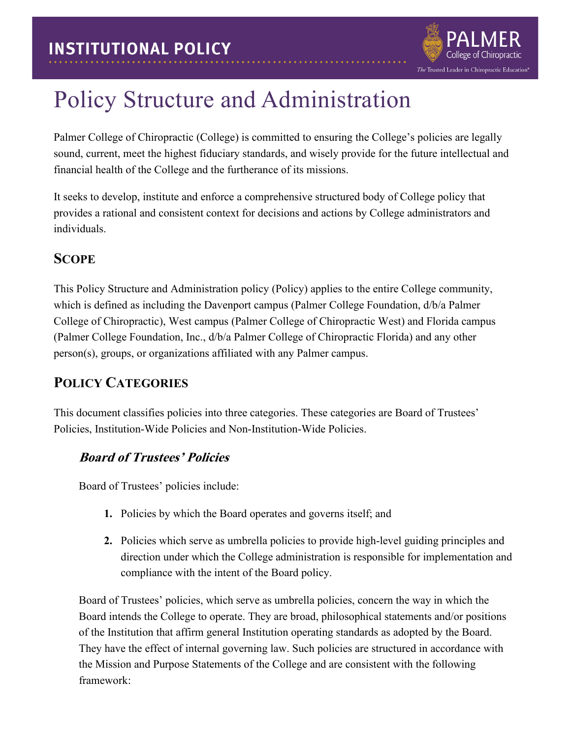

# Policy Structure and Administration

Palmer College of Chiropractic (College) is committed to ensuring the College's policies are legally sound, current, meet the highest fiduciary standards, and wisely provide for the future intellectual and financial health of the College and the furtherance of its missions.

It seeks to develop, institute and enforce a comprehensive structured body of College policy that provides a rational and consistent context for decisions and actions by College administrators and individuals.

# **SCOPE**

This Policy Structure and Administration policy (Policy) applies to the entire College community, which is defined as including the Davenport campus (Palmer College Foundation,  $d/b/a$  Palmer College of Chiropractic), West campus (Palmer College of Chiropractic West) and Florida campus (Palmer College Foundation, Inc., d/b/a Palmer College of Chiropractic Florida) and any other person(s), groups, or organizations affiliated with any Palmer campus.

# **POLICY CATEGORIES**

This document classifies policies into three categories. These categories are Board of Trustees' Policies, Institution-Wide Policies and Non-Institution-Wide Policies.

# **Board of Trustees' Policies**

Board of Trustees' policies include:

- **1.** Policies by which the Board operates and governs itself; and
- **2.** Policies which serve as umbrella policies to provide high-level guiding principles and direction under which the College administration is responsible for implementation and compliance with the intent of the Board policy.

Board of Trustees' policies, which serve as umbrella policies, concern the way in which the Board intends the College to operate. They are broad, philosophical statements and/or positions of the Institution that affirm general Institution operating standards as adopted by the Board. They have the effect of internal governing law. Such policies are structured in accordance with the Mission and Purpose Statements of the College and are consistent with the following framework: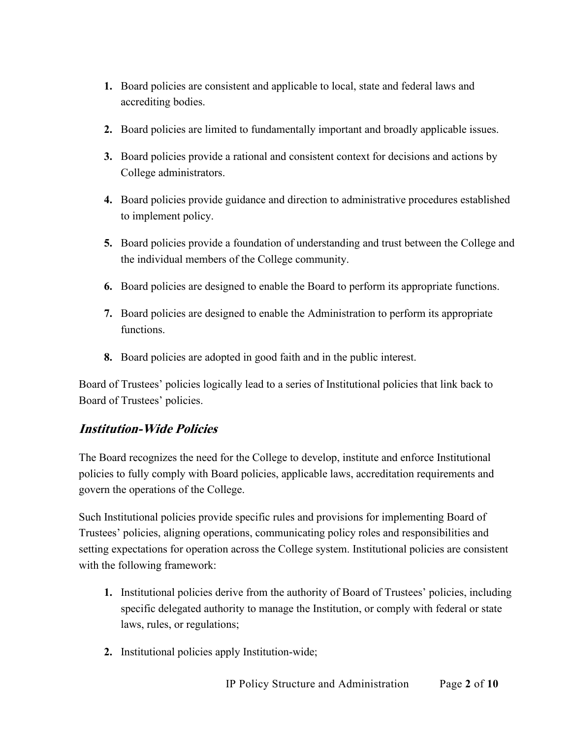- **1.** Board policies are consistent and applicable to local, state and federal laws and accrediting bodies.
- **2.** Board policies are limited to fundamentally important and broadly applicable issues.
- **3.** Board policies provide a rational and consistent context for decisions and actions by College administrators.
- **4.** Board policies provide guidance and direction to administrative procedures established to implement policy.
- **5.** Board policies provide a foundation of understanding and trust between the College and the individual members of the College community.
- **6.** Board policies are designed to enable the Board to perform its appropriate functions.
- **7.** Board policies are designed to enable the Administration to perform its appropriate functions.
- **8.** Board policies are adopted in good faith and in the public interest.

Board of Trustees' policies logically lead to a series of Institutional policies that link back to Board of Trustees' policies.

# **Institution-Wide Policies**

The Board recognizes the need for the College to develop, institute and enforce Institutional policies to fully comply with Board policies, applicable laws, accreditation requirements and govern the operations of the College.

Such Institutional policies provide specific rules and provisions for implementing Board of Trustees' policies, aligning operations, communicating policy roles and responsibilities and setting expectations for operation across the College system. Institutional policies are consistent with the following framework:

- **1.** Institutional policies derive from the authority of Board of Trustees' policies, including specific delegated authority to manage the Institution, or comply with federal or state laws, rules, or regulations;
- **2.** Institutional policies apply Institution-wide;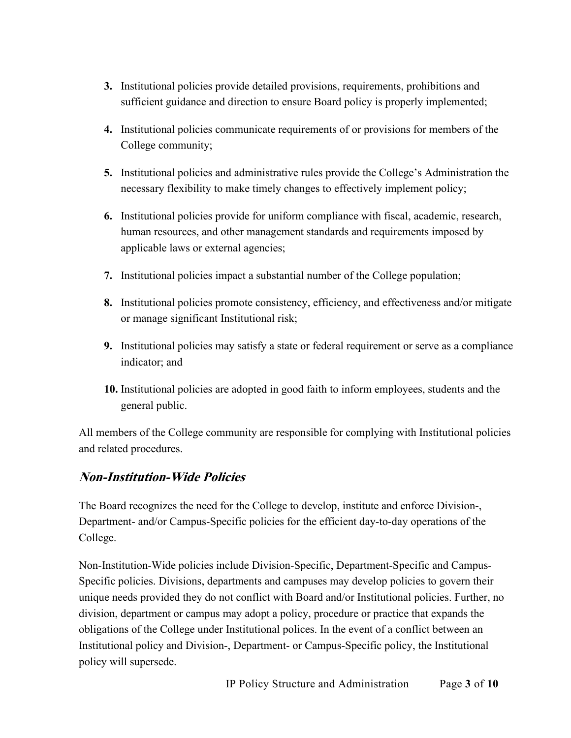- **3.** Institutional policies provide detailed provisions, requirements, prohibitions and sufficient guidance and direction to ensure Board policy is properly implemented;
- **4.** Institutional policies communicate requirements of or provisions for members of the College community;
- **5.** Institutional policies and administrative rules provide the College's Administration the necessary flexibility to make timely changes to effectively implement policy;
- **6.** Institutional policies provide for uniform compliance with fiscal, academic, research, human resources, and other management standards and requirements imposed by applicable laws or external agencies;
- **7.** Institutional policies impact a substantial number of the College population;
- **8.** Institutional policies promote consistency, efficiency, and effectiveness and/or mitigate or manage significant Institutional risk;
- **9.** Institutional policies may satisfy a state or federal requirement or serve as a compliance indicator; and
- **10.** Institutional policies are adopted in good faith to inform employees, students and the general public.

All members of the College community are responsible for complying with Institutional policies and related procedures.

#### **Non-Institution-Wide Policies**

The Board recognizes the need for the College to develop, institute and enforce Division-, Department- and/or Campus-Specific policies for the efficient day-to-day operations of the College.

Non-Institution-Wide policies include Division-Specific, Department-Specific and Campus-Specific policies. Divisions, departments and campuses may develop policies to govern their unique needs provided they do not conflict with Board and/or Institutional policies. Further, no division, department or campus may adopt a policy, procedure or practice that expands the obligations of the College under Institutional polices. In the event of a conflict between an Institutional policy and Division-, Department- or Campus-Specific policy, the Institutional policy will supersede.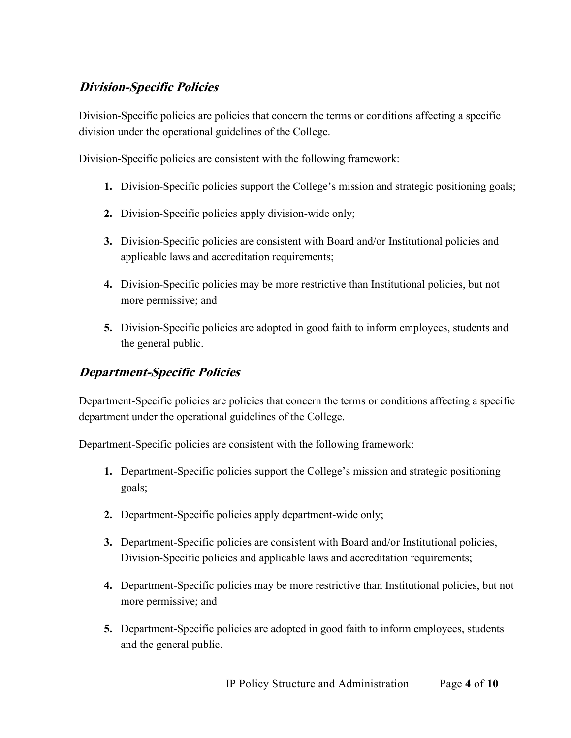### **Division-Specific Policies**

Division-Specific policies are policies that concern the terms or conditions affecting a specific division under the operational guidelines of the College.

Division-Specific policies are consistent with the following framework:

- **1.** Division-Specific policies support the College's mission and strategic positioning goals;
- **2.** Division-Specific policies apply division-wide only;
- **3.** Division-Specific policies are consistent with Board and/or Institutional policies and applicable laws and accreditation requirements;
- **4.** Division-Specific policies may be more restrictive than Institutional policies, but not more permissive; and
- **5.** Division-Specific policies are adopted in good faith to inform employees, students and the general public.

### **Department-Specific Policies**

Department-Specific policies are policies that concern the terms or conditions affecting a specific department under the operational guidelines of the College.

Department-Specific policies are consistent with the following framework:

- **1.** Department-Specific policies support the College's mission and strategic positioning goals;
- **2.** Department-Specific policies apply department-wide only;
- **3.** Department-Specific policies are consistent with Board and/or Institutional policies, Division-Specific policies and applicable laws and accreditation requirements;
- **4.** Department-Specific policies may be more restrictive than Institutional policies, but not more permissive; and
- **5.** Department-Specific policies are adopted in good faith to inform employees, students and the general public.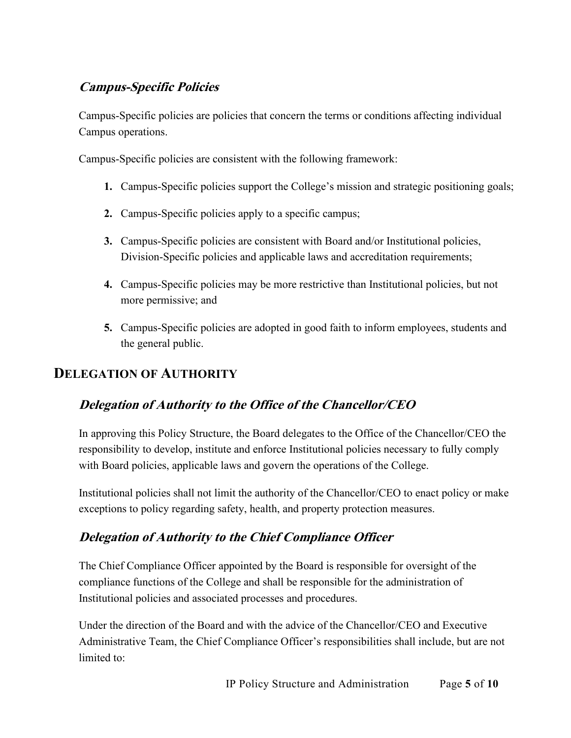# **Campus-Specific Policies**

Campus-Specific policies are policies that concern the terms or conditions affecting individual Campus operations.

Campus-Specific policies are consistent with the following framework:

- **1.** Campus-Specific policies support the College's mission and strategic positioning goals;
- **2.** Campus-Specific policies apply to a specific campus;
- **3.** Campus-Specific policies are consistent with Board and/or Institutional policies, Division-Specific policies and applicable laws and accreditation requirements;
- **4.** Campus-Specific policies may be more restrictive than Institutional policies, but not more permissive; and
- **5.** Campus-Specific policies are adopted in good faith to inform employees, students and the general public.

# **DELEGATION OF AUTHORITY**

# **Delegation of Authority to the Office of the Chancellor/CEO**

In approving this Policy Structure, the Board delegates to the Office of the Chancellor/CEO the responsibility to develop, institute and enforce Institutional policies necessary to fully comply with Board policies, applicable laws and govern the operations of the College.

Institutional policies shall not limit the authority of the Chancellor/CEO to enact policy or make exceptions to policy regarding safety, health, and property protection measures.

# **Delegation of Authority to the Chief Compliance Officer**

The Chief Compliance Officer appointed by the Board is responsible for oversight of the compliance functions of the College and shall be responsible for the administration of Institutional policies and associated processes and procedures.

Under the direction of the Board and with the advice of the Chancellor/CEO and Executive Administrative Team, the Chief Compliance Officer's responsibilities shall include, but are not limited to: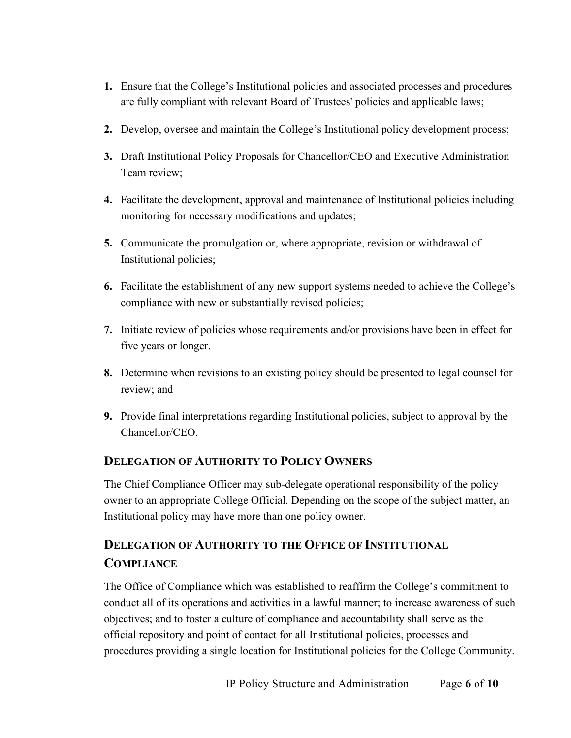- **1.** Ensure that the College's Institutional policies and associated processes and procedures are fully compliant with relevant Board of Trustees' policies and applicable laws;
- **2.** Develop, oversee and maintain the College's Institutional policy development process;
- **3.** Draft Institutional Policy Proposals for Chancellor/CEO and Executive Administration Team review;
- **4.** Facilitate the development, approval and maintenance of Institutional policies including monitoring for necessary modifications and updates;
- **5.** Communicate the promulgation or, where appropriate, revision or withdrawal of Institutional policies;
- **6.** Facilitate the establishment of any new support systems needed to achieve the College's compliance with new or substantially revised policies;
- **7.** Initiate review of policies whose requirements and/or provisions have been in effect for five years or longer.
- **8.** Determine when revisions to an existing policy should be presented to legal counsel for review; and
- **9.** Provide final interpretations regarding Institutional policies, subject to approval by the Chancellor/CEO.

#### **DELEGATION OF AUTHORITY TO POLICY OWNERS**

The Chief Compliance Officer may sub-delegate operational responsibility of the policy owner to an appropriate College Official. Depending on the scope of the subject matter, an Institutional policy may have more than one policy owner.

# **DELEGATION OF AUTHORITY TO THE OFFICE OF INSTITUTIONAL COMPLIANCE**

The Office of Compliance which was established to reaffirm the College's commitment to conduct all of its operations and activities in a lawful manner; to increase awareness of such objectives; and to foster a culture of compliance and accountability shall serve as the official repository and point of contact for all Institutional policies, processes and procedures providing a single location for Institutional policies for the College Community.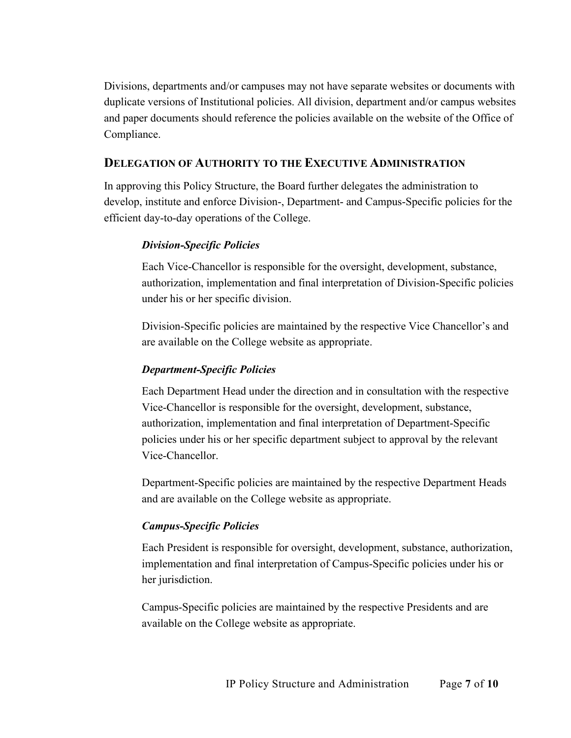Divisions, departments and/or campuses may not have separate websites or documents with duplicate versions of Institutional policies. All division, department and/or campus websites and paper documents should reference the policies available on the website of the Office of Compliance.

#### **DELEGATION OF AUTHORITY TO THE EXECUTIVE ADMINISTRATION**

In approving this Policy Structure, the Board further delegates the administration to develop, institute and enforce Division-, Department- and Campus-Specific policies for the efficient day-to-day operations of the College.

#### *Division-Specific Policies*

Each Vice-Chancellor is responsible for the oversight, development, substance, authorization, implementation and final interpretation of Division-Specific policies under his or her specific division.

Division-Specific policies are maintained by the respective Vice Chancellor's and are available on the College website as appropriate.

#### *Department-Specific Policies*

Each Department Head under the direction and in consultation with the respective Vice-Chancellor is responsible for the oversight, development, substance, authorization, implementation and final interpretation of Department-Specific policies under his or her specific department subject to approval by the relevant Vice-Chancellor.

Department-Specific policies are maintained by the respective Department Heads and are available on the College website as appropriate.

#### *Campus-Specific Policies*

Each President is responsible for oversight, development, substance, authorization, implementation and final interpretation of Campus-Specific policies under his or her jurisdiction.

Campus-Specific policies are maintained by the respective Presidents and are available on the College website as appropriate.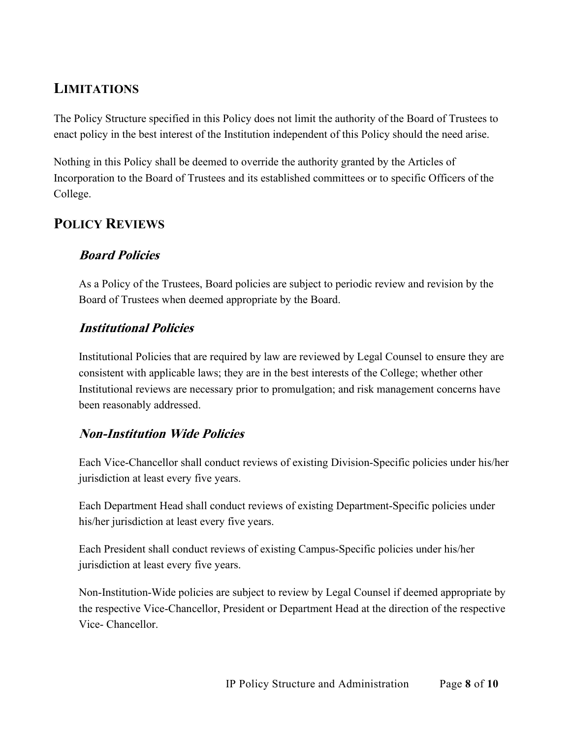# **LIMITATIONS**

The Policy Structure specified in this Policy does not limit the authority of the Board of Trustees to enact policy in the best interest of the Institution independent of this Policy should the need arise.

Nothing in this Policy shall be deemed to override the authority granted by the Articles of Incorporation to the Board of Trustees and its established committees or to specific Officers of the College.

# **POLICY REVIEWS**

# **Board Policies**

As a Policy of the Trustees, Board policies are subject to periodic review and revision by the Board of Trustees when deemed appropriate by the Board.

# **Institutional Policies**

Institutional Policies that are required by law are reviewed by Legal Counsel to ensure they are consistent with applicable laws; they are in the best interests of the College; whether other Institutional reviews are necessary prior to promulgation; and risk management concerns have been reasonably addressed.

# **Non-Institution Wide Policies**

Each Vice-Chancellor shall conduct reviews of existing Division-Specific policies under his/her jurisdiction at least every five years.

Each Department Head shall conduct reviews of existing Department-Specific policies under his/her jurisdiction at least every five years.

Each President shall conduct reviews of existing Campus-Specific policies under his/her jurisdiction at least every five years.

Non-Institution-Wide policies are subject to review by Legal Counsel if deemed appropriate by the respective Vice-Chancellor, President or Department Head at the direction of the respective Vice- Chancellor.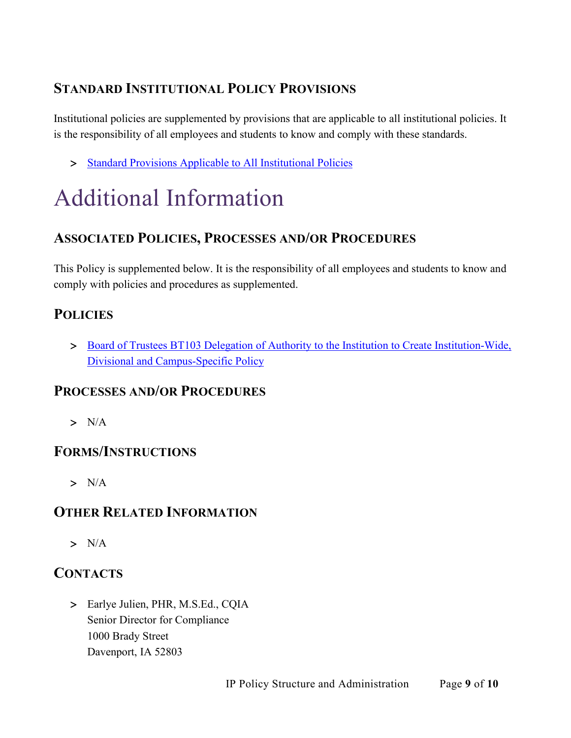# **STANDARD INSTITUTIONAL POLICY PROVISIONS**

Institutional policies are supplemented by provisions that are applicable to all institutional policies. It is the responsibility of all employees and students to know and comply with these standards.

> [Standard Provisions Applicable to All Institutional Policies](http://www.palmer.edu/uploadedFiles/Pages/Students/Resources_and_Offices/Handbook_and_Policies/_pdf/Standard-Provisions-Applicable-to-All-Institutional-Policies.pdf)

# Additional Information

# **ASSOCIATED POLICIES, PROCESSES AND/OR PROCEDURES**

This Policy is supplemented below. It is the responsibility of all employees and students to know and comply with policies and procedures as supplemented.

# **POLICIES**

> [Board of Trustees BT103 Delegation of Authority to the Institution to Create Institution-Wide,](https://livepalmer.sharepoint.com/sites/OfficeofCompliance/Shared%20Documents/Forms/All%20Documents.aspx?id=%2Fsites%2FOfficeofCompliance%2FShared%20Documents%2FPolicies%2FBT103%2DDelegation%2Dof%2DAuth%2Dto%2DCreate%2DPolicies%2Epdf&parent=%2Fsites%2FOfficeofCompliance%2FShared%20Documents%2FPolicies)  [Divisional and Campus-Specific Policy](https://livepalmer.sharepoint.com/sites/OfficeofCompliance/Shared%20Documents/Forms/All%20Documents.aspx?id=%2Fsites%2FOfficeofCompliance%2FShared%20Documents%2FPolicies%2FBT103%2DDelegation%2Dof%2DAuth%2Dto%2DCreate%2DPolicies%2Epdf&parent=%2Fsites%2FOfficeofCompliance%2FShared%20Documents%2FPolicies)

# **PROCESSES AND/OR PROCEDURES**

 $> N/A$ 

# **FORMS/INSTRUCTIONS**

 $> N/A$ 

# **OTHER RELATED INFORMATION**

> N/A

# **CONTACTS**

> Earlye Julien, PHR, M.S.Ed., CQIA Senior Director for Compliance 1000 Brady Street Davenport, IA 52803